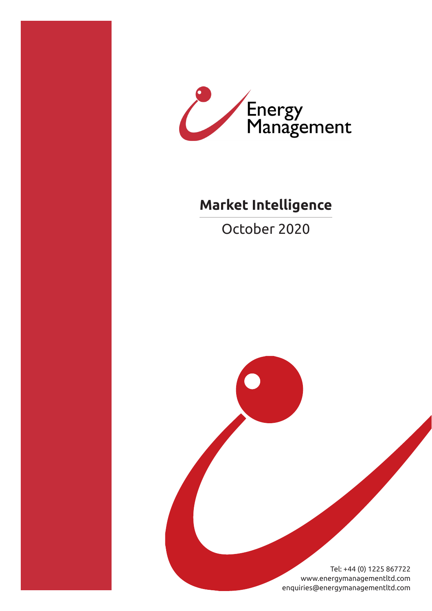



# **Market Intelligence**

October 2020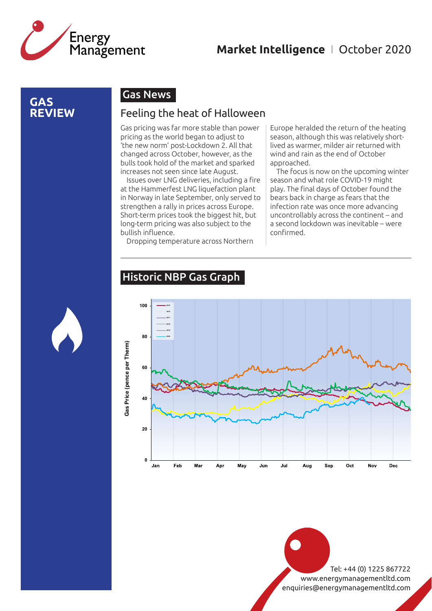

### **GAS REVIEW**

## Gas News

#### Feeling the heat of Halloween

Gas pricing was far more stable than power pricing as the world began to adjust to 'the new norm' post-Lockdown 2. All that changed across October, however, as the bulls took hold of the market and sparked increases not seen since late August.

Issues over LNG deliveries, including a fire at the Hammerfest LNG liquefaction plant in Norway in late September, only served to strengthen a rally in prices across Europe. Short-term prices took the biggest hit, but long-term pricing was also subject to the bullish influence.

Dropping temperature across Northern

Europe heralded the return of the heating season, although this was relatively shortlived as warmer, milder air returned with wind and rain as the end of October approached.

The focus is now on the upcoming winter season and what role COVID-19 might play. The final days of October found the bears back in charge as fears that the infection rate was once more advancing uncontrollably across the continent – and a second lockdown was inevitable – were confirmed.

#### Historic NBP Gas Graph

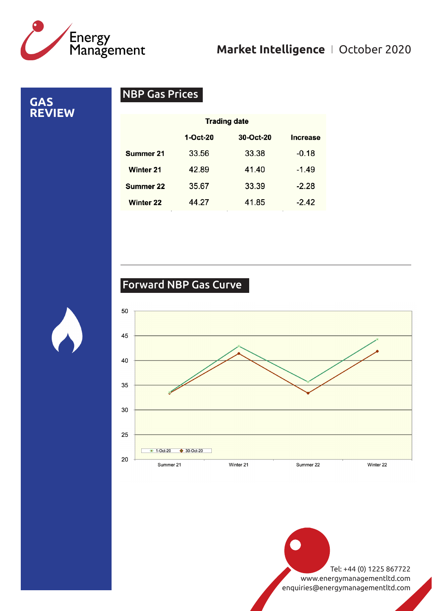

**GAS REVIEW**

# NBP Gas Prices

| <b>Trading date</b> |           |          |
|---------------------|-----------|----------|
| $1-Oct-20$          | 30-Oct-20 | Increase |
| 33.56               | 33.38     | $-0.18$  |
| 42.89               | 41.40     | $-1.49$  |
| 35.67               | 33.39     | $-2.28$  |
| 44.27               | 41.85     | $-2.42$  |
|                     |           |          |

# Forward NBP Gas Curve

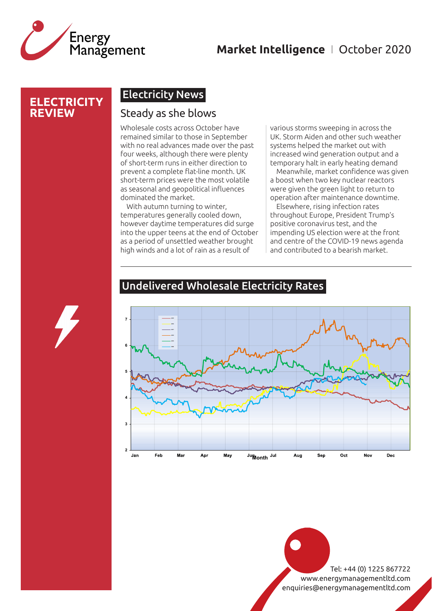

#### **ELECTRICITY REVIEW**

### Electricity News

#### Steady as she blows

Wholesale costs across October have remained similar to those in September with no real advances made over the past four weeks, although there were plenty of short-term runs in either direction to prevent a complete flat-line month. UK short-term prices were the most volatile as seasonal and geopolitical influences dominated the market.

With autumn turning to winter, temperatures generally cooled down, however daytime temperatures did surge into the upper teens at the end of October as a period of unsettled weather brought high winds and a lot of rain as a result of

various storms sweeping in across the UK. Storm Aiden and other such weather systems helped the market out with increased wind generation output and a temporary halt in early heating demand

Meanwhile, market confidence was given a boost when two key nuclear reactors were given the green light to return to operation after maintenance downtime.

Elsewhere, rising infection rates throughout Europe, President Trump's positive coronavirus test, and the impending US election were at the front and centre of the COVID-19 news agenda and contributed to a bearish market.



#### Undelivered Wholesale Electricity Rates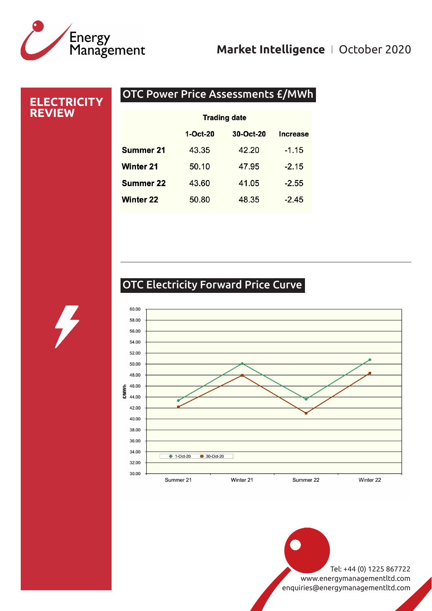# Energy<br>Management

# **Market Intelligence** I October 2020

#### OTC Power Price Assessments £/MWh **ELECTRICITY REVIEW Trading date** 1-Oct-20 30-Oct-20 **Increase Summer 21** 43.35 42.20  $-1.15$ **Winter 21** 50.10 47.95  $-2.15$ **Summer 22** 43.60 41.05  $-2.55$ **Winter 22** 48.35  $-2.45$ 50.80

# OTC Electricity Forward Price Curve